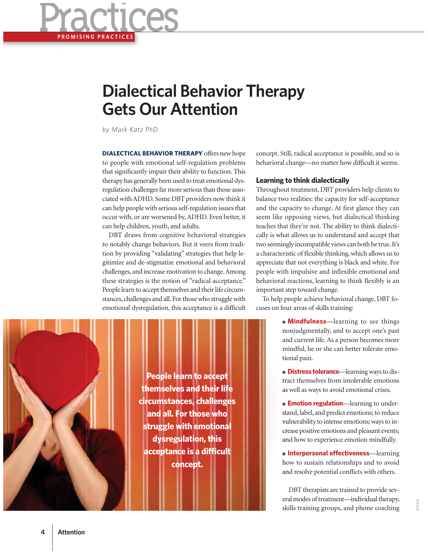

## **Dialectical Behavior Therapy Gets Our Attention**

*by Mark Katz PhD*

**DIALECTICAL BEHAVIOR THERAPY** offers new hope to people with emotional self-regulation problems that significantly impair their ability to function. This therapy has generally been used to treat emotional dysregulation challenges far more serious than those associated with ADHD. Some DBT providers now think it can help people with serious self-regulation issues that occur with, or are worsened by, ADHD. Even better, it can help children, youth, and adults.

DBT draws from cognitive behavioral strategies to notably change behaviors. But it veers from tradition by providing "validating" strategies that help legitimize and de-stigmatize emotional and behavioral challenges, and increase motivation to change. Among these strategies is the notion of "radical acceptance." People learn to accept themselves and their life circumstances, challenges and all. For those who struggle with emotional dysregulation, this acceptance is a difficult



## **Learning to think dialectically**

Throughout treatment, DBT providers help clients to balance two realities: the capacity for self-acceptance and the capacity to change. At first glance they can seem like opposing views, but dialectical thinking teaches that they're not. The ability to think dialectically is what allows us to understand and accept that two seemingly incompatible views can both be true. It's a characteristic of flexible thinking, which allows us to appreciate that not everything is black and white. For people with impulsive and inflexible emotional and behavioral reactions, learning to think flexibly is an important step toward change.

To help people achieve behavioral change, DBT focuses on four areas of skills training:

> **• Mindfulness**—learning to see things nonjudgmentally, and to accept one's past no and current life. As a person becomes more an mindful, he or she can better tolerate emo-m tional pain. tio

> ● **Distress tolerance**—learning ways to dis-**D** tract themselves from intolerable emotions tra as well as ways to avoid emotional crises. as

> ● **Emotion regulation**—learning to under-**E** stand, label, and predict emotions; to reduce sta vulnerability to intense emotions; ways to in-vu crease positive emotions and pleasant events; cre and how to experience emotion mindfully. an

> ● **Interpersonal effectiveness**—learning how to sustain relationships and to avoid ho and resolve potential conflicts with others. an

> DBT therapists are trained to provide several modes of treatment—individual therapy, skills training groups, and phone coaching sk



**4 Attention**